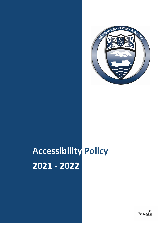

# **Accessibility Policy 2021 - 2022**

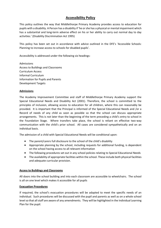# **Accessibility Policy**

This policy outlines the way that Middlethorpe Primary Academy provides access to education for pupils with a disability. A Person has a disability if 'he or she has a physical or mental impairment which has a substantial and long-term adverse effect on his or her ability to carry out normal day to day activities.' (Disability Discrimination Act 1995)

This policy has been set out in accordance with advice outlined in the DFE's 'Accessible Schools: Planning to increase access to schools for disabled pupils'.

Accessibility is addressed under the following six headings:

Admissions Access to Buildings and Classrooms Curriculum Access Informal Curriculum Information for Pupils and Parents Development Targets

## **Admissions**

The Academy Improvement Committee and staff of Middlethorpe Primary Academy support the Special Educational Needs and Disability Act (2001). Therefore, the school is committed to the principles of inclusion, allowing access to education for all children, where this can reasonably be provided. It is important that the Principal is informed of the Special Educational Needs and /or a Record of needs of any child as soon as possible so that the school can discuss appropriate arrangements. This is not later than the beginning of the term preceding a child's entry to school in the Foundation Stage. Where transfers take place, the school is reliant on effective two-way communication with the child's prior school. All cases are considered sympathetically and on an individual basis.

The admission of a child with Special Educational Needs will be conditional upon:

- The parent/carers full disclosure to the school of the child's disability
- Appropriate planning by the school, including requests for additional funding, is dependent on the school having access to all relevant information
- The following procedures set out in any school policies relating to Special Educational Needs
- The availability of appropriate facilities within the school. These include both physical facilities and adequate curricular provision.

#### **Access to Buildings and Classrooms**

All doors into the school building and into each classroom are accessible to wheelchairs. The school is all on one level which makes it accessible for all pupils

#### **Evacuation Procedures**

If required, the school's evacuation procedures will be adapted to meet the specific needs of an individual. Such procedures will be discussed with the pupil and parents as well as on a whole school level so that all staff are aware of any amendments. They will be highlighted in the Individual Learning Plan for the pupil.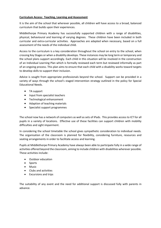## **Curriculum Access: Teaching, Learning and Assessment**

It is the aim of the school that wherever possible, all children will have access to a broad, balanced curriculum that builds upon their experiences.

Middlethorpe Primary Academy has successfully supported children with a range of disabilities, physical, behavioural and learning of varying degrees. These children have been included in both curricular and extra-curricular activities. Approaches are adapted when necessary, based on a full assessment of the needs of the individual child.

Access to the curriculum is a key consideration throughout the school on entry to the school, when crossing Key Stages or when a disability develops. These instances may be long term or temporary and the school plans support accordingly. Each child in this situation will be involved in the construction of an Individual Learning Plan which is formally reviewed each term but reviewed informally as part of an ongoing process. This plan aims to ensure that each child with a disability works toward targets to develop skills to support their inclusion.

Advice is sought from appropriate professionals beyond the school. Support can be provided in a variety of ways through the school's staged intervention strategy outlined in the policy for Special Educational Needs.

- TA support
- Input from specialist teachers
- Technological enhancement
- Adaption of teaching materials
- Specialist support programmes

The school now has a network of computers as well as sets of iPads. This provides access to ICT for all pupils in a variety of locations. Effective use of these facilities can support children with mobility difficulties and sight impairment.

In considering the school timetable the school gives sympathetic consideration to individual needs. The organisation of the classroom is planned for flexibility, considering furniture, resources and seating arrangements in order to facilitate access and learning.

Pupils at Middlethorpe Primary Academy have always been able to participate fully in a wide range of activities offered beyond the classroom, aiming to include children with disabilities wherever possible. These activities include:

- Outdoor education
- Sports
- Music
- Clubs and activities
- Excursions and trips

The suitability of any event and the need for additional support is discussed fully with parents in advance.